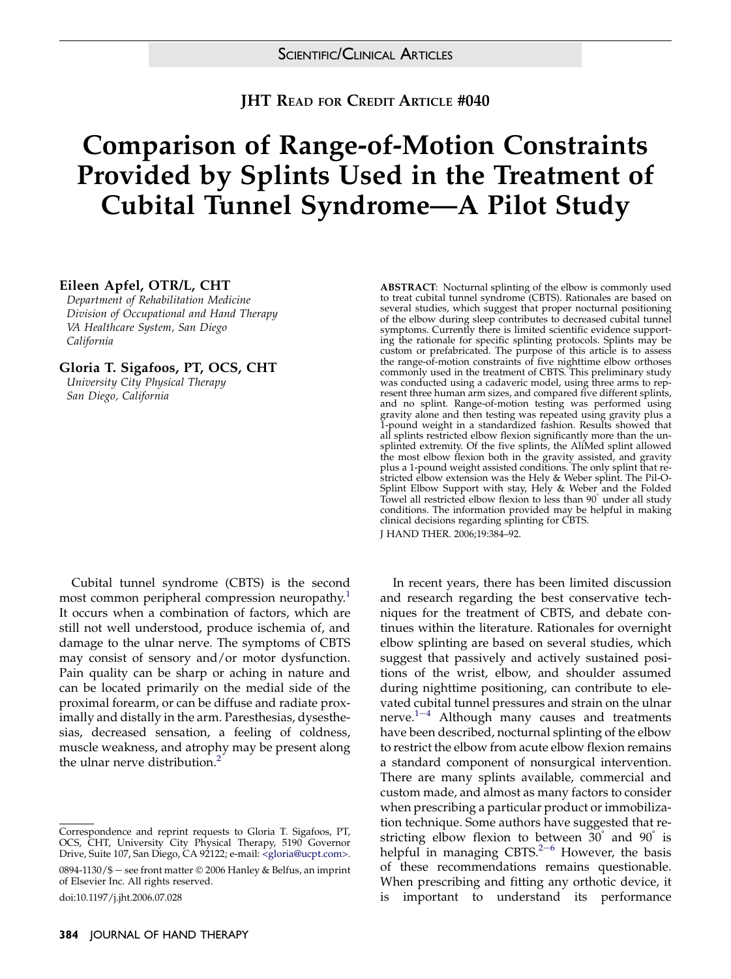**JHT READ FOR CREDIT ARTICLE #040** 

## Comparison of Range-of-Motion Constraints Provided by Splints Used in the Treatment of Cubital Tunnel Syndrome—A Pilot Study

#### Eileen Apfel, OTR/L, CHT

Department of Rehabilitation Medicine Division of Occupational and Hand Therapy VA Healthcare System, San Diego California

Gloria T. Sigafoos, PT, OCS, CHT

University City Physical Therapy San Diego, California

Cubital tunnel syndrome (CBTS) is the second most common peripheral compression neuropathy.<sup>[1](#page-6-0)</sup> It occurs when a combination of factors, which are still not well understood, produce ischemia of, and damage to the ulnar nerve. The symptoms of CBTS may consist of sensory and/or motor dysfunction. Pain quality can be sharp or aching in nature and can be located primarily on the medial side of the proximal forearm, or can be diffuse and radiate proximally and distally in the arm. Paresthesias, dysesthesias, decreased sensation, a feeling of coldness, muscle weakness, and atrophy may be present along the ulnar nerve distribution.<sup>[2](#page-6-0)</sup>

0894-1130/\$ — see front matter © 2006 Hanley & Belfus, an imprint of Elsevier Inc. All rights reserved.

ABSTRACT: Nocturnal splinting of the elbow is commonly used to treat cubital tunnel syndrome (CBTS). Rationales are based on several studies, which suggest that proper nocturnal positioning of the elbow during sleep contributes to decreased cubital tunnel symptoms. Currently there is limited scientific evidence supporting the rationale for specific splinting protocols. Splints may be custom or prefabricated. The purpose of this article is to assess the range-of-motion constraints of five nighttime elbow orthoses commonly used in the treatment of CBTS. This preliminary study was conducted using a cadaveric model, using three arms to represent three human arm sizes, and compared five different splints, and no splint. Range-of-motion testing was performed using gravity alone and then testing was repeated using gravity plus a 1-pound weight in a standardized fashion. Results showed that all splints restricted elbow flexion significantly more than the unsplinted extremity. Of the five splints, the AliMed splint allowed the most elbow flexion both in the gravity assisted, and gravity plus a 1-pound weight assisted conditions. The only splint that restricted elbow extension was the Hely & Weber splint. The Pil-O-Splint Elbow Support with stay, Hely & Weber and the Folded Towel all restricted elbow flexion to less than  $90^\circ$  under all study conditions. The information provided may be helpful in making clinical decisions regarding splinting for CBTS.

J HAND THER. 2006;19:384–92.

In recent years, there has been limited discussion and research regarding the best conservative techniques for the treatment of CBTS, and debate continues within the literature. Rationales for overnight elbow splinting are based on several studies, which suggest that passively and actively sustained positions of the wrist, elbow, and shoulder assumed during nighttime positioning, can contribute to elevated [cub](#page-6-0)ital tunnel pressures and strain on the ulnar nerve. $1-4$  Although many causes and treatments have been described, nocturnal splinting of the elbow to restrict the elbow from acute elbow flexion remains a standard component of nonsurgical intervention. There are many splints available, commercial and custom made, and almost as many factors to consider when prescribing a particular product or immobilization technique. Some authors have suggested that restricting elbow flexion to between  $30^{\circ}$  and  $90^{\circ}$  is h[e](#page-6-0)lpful in managing CBTS. $2-6$  However, the basis of these recommendations remains questionable. When prescribing and fitting any orthotic device, it is important to understand its performance

Correspondence and reprint requests to Gloria T. Sigafoos, PT, OCS, CHT, University City Physical Therapy, 5190 Governor Drive, Suite 107, San Diego, CA 92122; e-mail: [<gloria@ucpt.com>.](mailto:gloria@ucpt.com)

doi:10.1197/j.jht.2006.07.028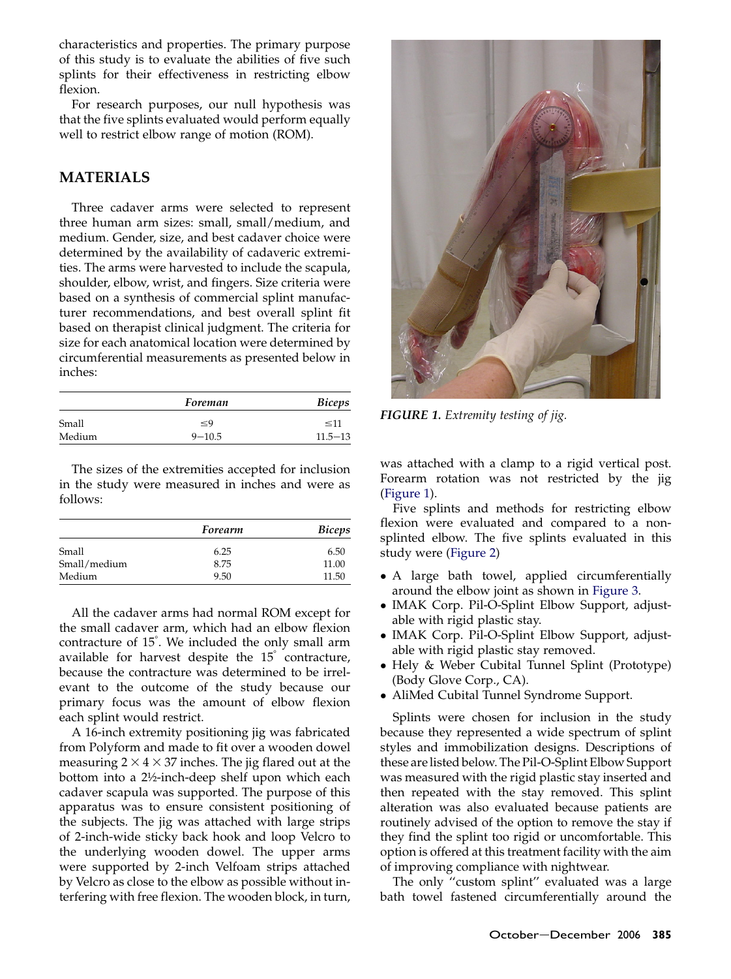<span id="page-1-0"></span>characteristics and properties. The primary purpose of this study is to evaluate the abilities of five such splints for their effectiveness in restricting elbow flexion.

For research purposes, our null hypothesis was that the five splints evaluated would perform equally well to restrict elbow range of motion (ROM).

## MATERIALS

Three cadaver arms were selected to represent three human arm sizes: small, small/medium, and medium. Gender, size, and best cadaver choice were determined by the availability of cadaveric extremities. The arms were harvested to include the scapula, shoulder, elbow, wrist, and fingers. Size criteria were based on a synthesis of commercial splint manufacturer recommendations, and best overall splint fit based on therapist clinical judgment. The criteria for size for each anatomical location were determined by circumferential measurements as presented below in inches:

|        | Foreman    | <b>Biceps</b> |
|--------|------------|---------------|
| Small  | $\leq 9$   | $\leq 11$     |
| Medium | $9 - 10.5$ | $11.5 - 13$   |

The sizes of the extremities accepted for inclusion in the study were measured in inches and were as follows:

|              | Forearm | <b>Biceps</b> |
|--------------|---------|---------------|
| Small        | 6.25    | 6.50          |
| Small/medium | 8.75    | 11.00         |
| Medium       | 9.50    | 11.50         |

All the cadaver arms had normal ROM except for the small cadaver arm, which had an elbow flexion contracture of 15<sup>°</sup>. We included the only small arm available for harvest despite the  $15<sup>°</sup>$  contracture, because the contracture was determined to be irrelevant to the outcome of the study because our primary focus was the amount of elbow flexion each splint would restrict.

A 16-inch extremity positioning jig was fabricated from Polyform and made to fit over a wooden dowel measuring  $2 \times 4 \times 37$  inches. The jig flared out at the bottom into a 2½-inch-deep shelf upon which each cadaver scapula was supported. The purpose of this apparatus was to ensure consistent positioning of the subjects. The jig was attached with large strips of 2-inch-wide sticky back hook and loop Velcro to the underlying wooden dowel. The upper arms were supported by 2-inch Velfoam strips attached by Velcro as close to the elbow as possible without interfering with free flexion. The wooden block, in turn,



FIGURE 1. Extremity testing of jig.

was attached with a clamp to a rigid vertical post. Forearm rotation was not restricted by the jig (Figure 1).

Five splints and methods for restricting elbow flexion were evaluated and compared to a nonsplinted elbow. The five splints evaluated in this study were [\(Figure 2\)](#page-2-0)

- A large bath towel, applied circumferentially around the elbow joint as shown in [Figure 3.](#page-2-0)
- IMAK Corp. Pil-O-Splint Elbow Support, adjustable with rigid plastic stay.
- IMAK Corp. Pil-O-Splint Elbow Support, adjustable with rigid plastic stay removed.
- Hely & Weber Cubital Tunnel Splint (Prototype) (Body Glove Corp., CA).
- AliMed Cubital Tunnel Syndrome Support.

Splints were chosen for inclusion in the study because they represented a wide spectrum of splint styles and immobilization designs. Descriptions of these arelisted below. The Pil-O-Splint Elbow Support was measured with the rigid plastic stay inserted and then repeated with the stay removed. This splint alteration was also evaluated because patients are routinely advised of the option to remove the stay if they find the splint too rigid or uncomfortable. This option is offered at this treatment facility with the aim of improving compliance with nightwear.

The only "custom splint" evaluated was a large bath towel fastened circumferentially around the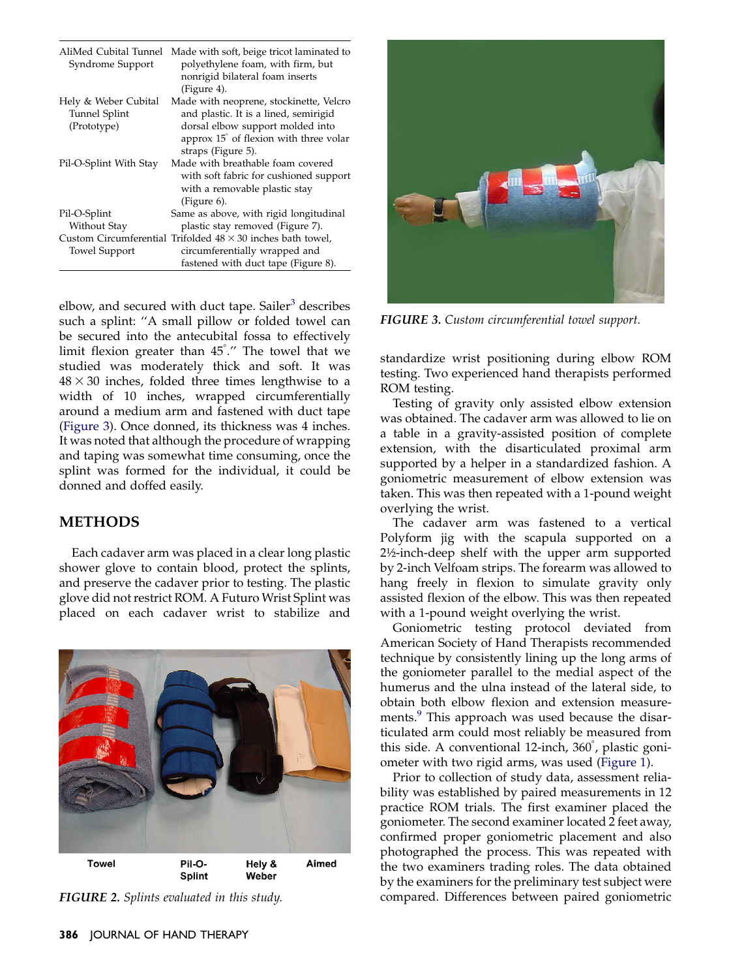<span id="page-2-0"></span>

| AliMed Cubital Tunnel<br>Syndrome Support | Made with soft, beige tricot laminated to<br>polyethylene foam, with firm, but<br>nonrigid bilateral foam inserts |  |
|-------------------------------------------|-------------------------------------------------------------------------------------------------------------------|--|
|                                           |                                                                                                                   |  |
|                                           | (Figure 4).                                                                                                       |  |
| <b>Hely &amp; Weber Cubital</b>           | Made with neoprene, stockinette, Velcro                                                                           |  |
| <b>Tunnel Splint</b>                      | and plastic. It is a lined, semirigid                                                                             |  |
| (Prototype)                               | dorsal elbow support molded into                                                                                  |  |
|                                           | approx 15 <sup>°</sup> of flexion with three volar                                                                |  |
|                                           | straps (Figure 5).                                                                                                |  |
| Pil-O-Splint With Stay                    | Made with breathable foam covered                                                                                 |  |
|                                           | with soft fabric for cushioned support                                                                            |  |
|                                           | with a removable plastic stay                                                                                     |  |
|                                           | (Figure 6).                                                                                                       |  |
| Pil-O-Splint                              | Same as above, with rigid longitudinal                                                                            |  |
| Without Stay                              | plastic stay removed (Figure 7).                                                                                  |  |
|                                           | Custom Circumferential Trifolded $48 \times 30$ inches bath towel.                                                |  |
| <b>Towel Support</b>                      | circumferentially wrapped and                                                                                     |  |
|                                           | fastened with duct tape (Figure 8).                                                                               |  |

elbow, and secured with duct tape. Sailer<sup>[3](#page-7-0)</sup> describes such a splint: ''A small pillow or folded towel can be secured into the antecubital fossa to effectively limit flexion greater than  $45\degree''$  The towel that we studied was moderately thick and soft. It was  $48 \times 30$  inches, folded three times lengthwise to a width of 10 inches, wrapped circumferentially around a medium arm and fastened with duct tape (Figure 3). Once donned, its thickness was 4 inches. It was noted that although the procedure of wrapping and taping was somewhat time consuming, once the splint was formed for the individual, it could be donned and doffed easily.

## METHODS

Each cadaver arm was placed in a clear long plastic shower glove to contain blood, protect the splints, and preserve the cadaver prior to testing. The plastic glove did not restrict ROM. A Futuro Wrist Splint was placed on each cadaver wrist to stabilize and



FIGURE 2. Splints evaluated in this study.



FIGURE 3. Custom circumferential towel support.

standardize wrist positioning during elbow ROM testing. Two experienced hand therapists performed ROM testing.

Testing of gravity only assisted elbow extension was obtained. The cadaver arm was allowed to lie on a table in a gravity-assisted position of complete extension, with the disarticulated proximal arm supported by a helper in a standardized fashion. A goniometric measurement of elbow extension was taken. This was then repeated with a 1-pound weight overlying the wrist.

The cadaver arm was fastened to a vertical Polyform jig with the scapula supported on a 2½-inch-deep shelf with the upper arm supported by 2-inch Velfoam strips. The forearm was allowed to hang freely in flexion to simulate gravity only assisted flexion of the elbow. This was then repeated with a 1-pound weight overlying the wrist.

Goniometric testing protocol deviated from American Society of Hand Therapists recommended technique by consistently lining up the long arms of the goniometer parallel to the medial aspect of the humerus and the ulna instead of the lateral side, to obtain both elbow flexion and extension measure-ments.<sup>[9](#page-7-0)</sup> This approach was used because the disarticulated arm could most reliably be measured from this side. A conventional 12-inch, 360°, plastic goniometer with two rigid arms, was used ([Figure 1](#page-1-0)).

Prior to collection of study data, assessment reliability was established by paired measurements in 12 practice ROM trials. The first examiner placed the goniometer. The second examiner located 2 feet away, confirmed proper goniometric placement and also photographed the process. This was repeated with the two examiners trading roles. The data obtained by the examiners for the preliminary test subject were compared. Differences between paired goniometric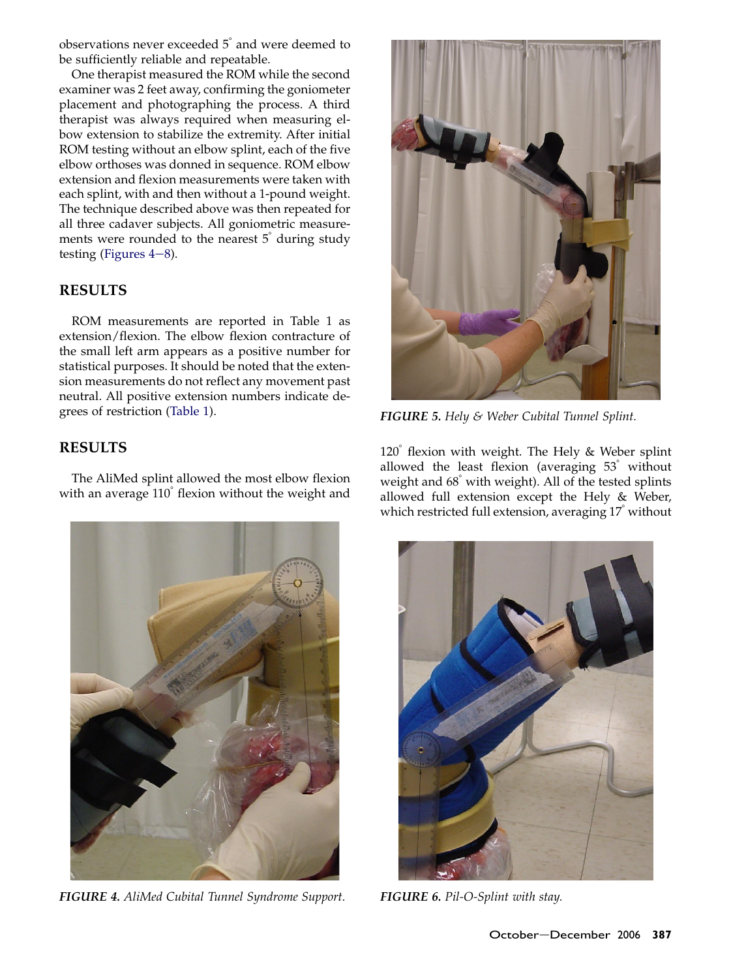observations never exceeded  $5^\circ$  and were deemed to be sufficiently reliable and repeatable.

One therapist measured the ROM while the second examiner was 2 feet away, confirming the goniometer placement and photographing the process. A third therapist was always required when measuring elbow extension to stabilize the extremity. After initial ROM testing without an elbow splint, each of the five elbow orthoses was donned in sequence. ROM elbow extension and flexion measurements were taken with each splint, with and then without a 1-pound weight. The technique described above was then repeated for all three cadaver subjects. All goniometric measurements were rounded to the nearest  $5^{\degree}$  during study testing (Figures  $4-8$ ).

## **RESULTS**

ROM measurements are reported in Table 1 as extension/flexion. The elbow flexion contracture of the small left arm appears as a positive number for statistical purposes. It should be noted that the extension measurements do not reflect any movement past neutral. All positive extension numbers indicate degrees of restriction [\(Table 1\)](#page-4-0).

## RESULTS

The AliMed splint allowed the most elbow flexion with an average  $110<sup>°</sup>$  flexion without the weight and



FIGURE 4. AliMed Cubital Tunnel Syndrome Support. FIGURE 6. Pil-O-Splint with stay.



**FIGURE 5.** Hely & Weber Cubital Tunnel Splint.

 $120^\circ$  flexion with weight. The Hely & Weber splint allowed the least flexion (averaging  $53^{\circ}$  without weight and  $68^\circ$  with weight). All of the tested splints allowed full extension except the Hely & Weber, which restricted full extension, averaging 17<sup>*without*</sup>

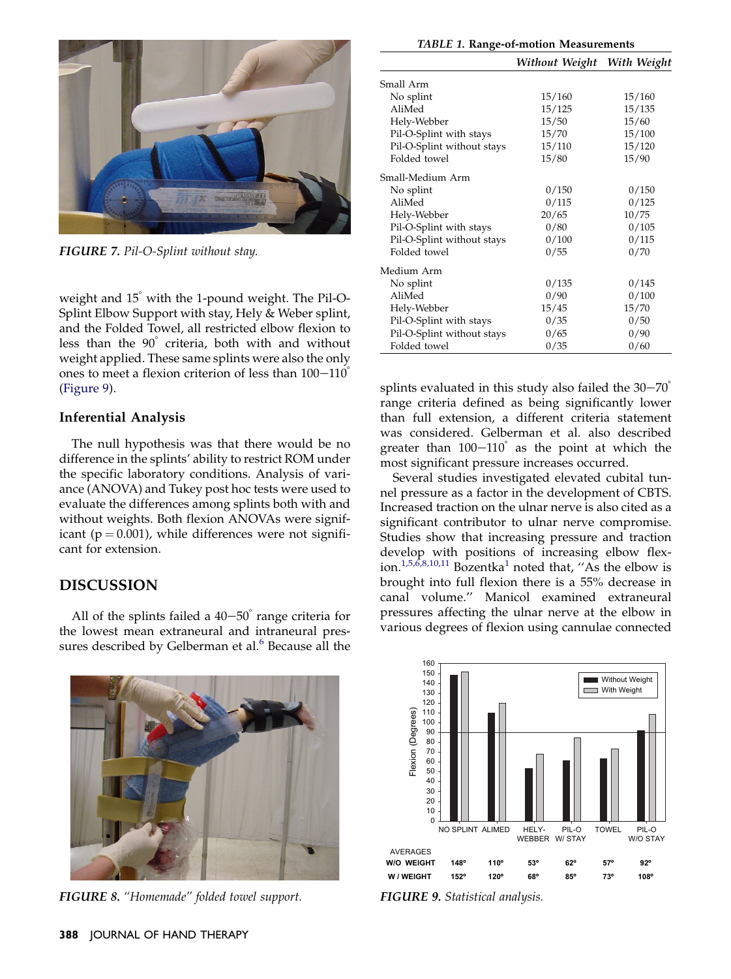<span id="page-4-0"></span>

FIGURE 7. Pil-O-Splint without stay.

weight and  $15^\circ$  with the 1-pound weight. The Pil-O-Splint Elbow Support with stay, Hely & Weber splint, and the Folded Towel, all restricted elbow flexion to less than the  $90^\circ$  criteria, both with and without weight applied. These same splints were also the only ones to meet a flexion criterion of less than  $100-110^\circ$ (Figure 9).

#### Inferential Analysis

The null hypothesis was that there would be no difference in the splints' ability to restrict ROM under the specific laboratory conditions. Analysis of variance (ANOVA) and Tukey post hoc tests were used to evaluate the differences among splints both with and without weights. Both flexion ANOVAs were significant ( $p = 0.001$ ), while differences were not significant for extension.

### DISCUSSION

All of the splints failed a  $40-50^\circ$  range criteria for the lowest mean extraneural and intraneural pres-sures described by Gelberman et al.<sup>[6](#page-7-0)</sup> Because all the



FIGURE 8. ''Homemade'' folded towel support.

|                            | Without Weight With Weight |        |
|----------------------------|----------------------------|--------|
| Small Arm                  |                            |        |
| No splint                  | 15/160                     | 15/160 |
| AliMed                     | 15/125                     | 15/135 |
| Hely-Webber                | 15/50                      | 15/60  |
| Pil-O-Splint with stays    | 15/70                      | 15/100 |
| Pil-O-Splint without stays | 15/110                     | 15/120 |
| Folded towel               | 15/80                      | 15/90  |
| Small-Medium Arm           |                            |        |
| No splint                  | 0/150                      | 0/150  |
| AliMed                     | 0/115                      | 0/125  |
| Hely-Webber                | 20/65                      | 10/75  |
| Pil-O-Splint with stays    | 0/80                       | 0/105  |
| Pil-O-Splint without stays | 0/100                      | 0/115  |
| Folded towel               | 0/55                       | 0/70   |
| Medium Arm                 |                            |        |
| No splint                  | 0/135                      | 0/145  |
| AliMed                     | 0/90                       | 0/100  |
| Hely-Webber                | 15/45                      | 15/70  |
| Pil-O-Splint with stays    | 0/35                       | 0/50   |
| Pil-O-Splint without stays | 0/65                       | 0/90   |
| Folded towel               | 0/35                       | 0/60   |

splints evaluated in this study also failed the  $30-70^{\circ}$ range criteria defined as being significantly lower than full extension, a different criteria statement was considered. Gelberman et al. also described greater than  $100-110^\circ$  as the point at which the most significant pressure increases occurred.

Several studies investigated elevated cubital tunnel pressure as a factor in the development of CBTS. Increased traction on the ulnar nerve is also cited as a significant contributor to ulnar nerve compromise. Studies show that increasing pressure and traction develop with positions of increasing elbow flex-ion.<sup>[1,5,6,8,10,11](#page-6-0)</sup> Bozentka<sup>[1](#page-6-0)</sup> noted that, "As the elbow is brought into full flexion there is a 55% decrease in canal volume.'' Manicol examined extraneural pressures affecting the ulnar nerve at the elbow in various degrees of flexion using cannulae connected



FIGURE 9. Statistical analysis.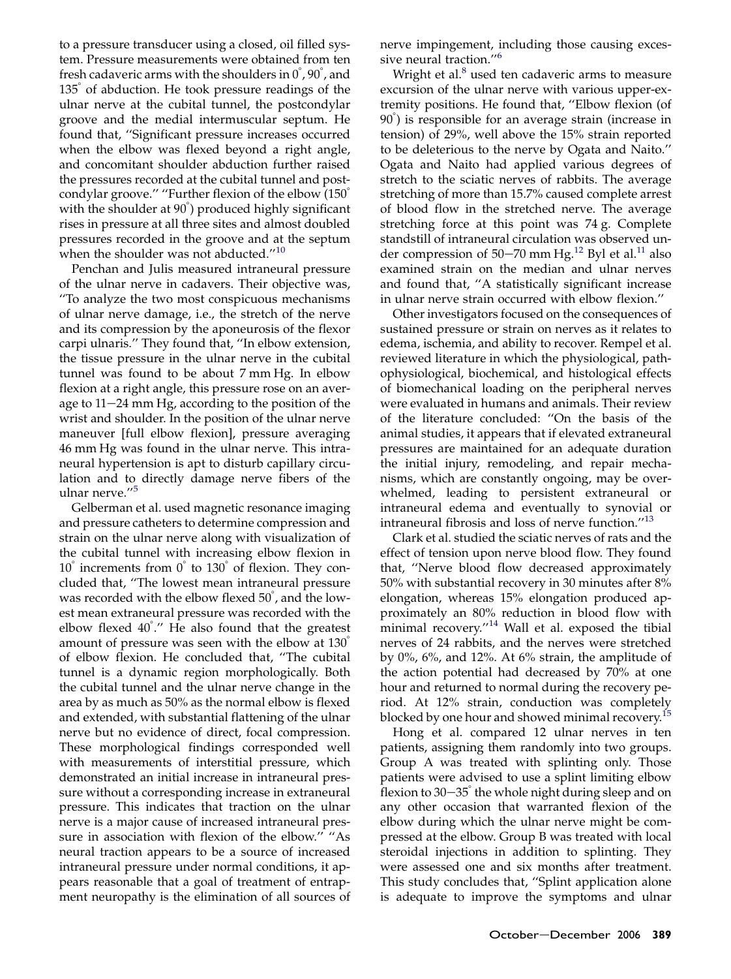to a pressure transducer using a closed, oil filled system. Pressure measurements were obtained from ten fresh cadaveric arms with the shoulders in  $0\degree$ ,  $90\degree$ , and  $135<sup>°</sup>$  of abduction. He took pressure readings of the ulnar nerve at the cubital tunnel, the postcondylar groove and the medial intermuscular septum. He found that, ''Significant pressure increases occurred when the elbow was flexed beyond a right angle, and concomitant shoulder abduction further raised the pressures recorded at the cubital tunnel and postcondylar groove." "Further flexion of the elbow (150<sup>°</sup> with the shoulder at  $90^{\circ}$ ) produced highly significant rises in pressure at all three sites and almost doubled pressures recorded in the groove and at the septum when the shoulder was not abducted."<sup>[10](#page-7-0)</sup>

Penchan and Julis measured intraneural pressure of the ulnar nerve in cadavers. Their objective was, ''To analyze the two most conspicuous mechanisms of ulnar nerve damage, i.e., the stretch of the nerve and its compression by the aponeurosis of the flexor carpi ulnaris.'' They found that, ''In elbow extension, the tissue pressure in the ulnar nerve in the cubital tunnel was found to be about 7 mm Hg. In elbow flexion at a right angle, this pressure rose on an average to  $11-24$  mm Hg, according to the position of the wrist and shoulder. In the position of the ulnar nerve maneuver [full elbow flexion], pressure averaging 46 mm Hg was found in the ulnar nerve. This intraneural hypertension is apt to disturb capillary circulation and to directly damage nerve fibers of the ulnar nerve.''[5](#page-7-0)

Gelberman et al. used magnetic resonance imaging and pressure catheters to determine compression and strain on the ulnar nerve along with visualization of the cubital tunnel with increasing elbow flexion in  $10^{\circ}$  increments from  $0^{\circ}$  to  $130^{\circ}$  of flexion. They concluded that, ''The lowest mean intraneural pressure was recorded with the elbow flexed  $50\degree$ , and the lowest mean extraneural pressure was recorded with the elbow flexed 40°." He also found that the greatest amount of pressure was seen with the elbow at  $130<sup>°</sup>$ of elbow flexion. He concluded that, ''The cubital tunnel is a dynamic region morphologically. Both the cubital tunnel and the ulnar nerve change in the area by as much as 50% as the normal elbow is flexed and extended, with substantial flattening of the ulnar nerve but no evidence of direct, focal compression. These morphological findings corresponded well with measurements of interstitial pressure, which demonstrated an initial increase in intraneural pressure without a corresponding increase in extraneural pressure. This indicates that traction on the ulnar nerve is a major cause of increased intraneural pressure in association with flexion of the elbow.'' ''As neural traction appears to be a source of increased intraneural pressure under normal conditions, it appears reasonable that a goal of treatment of entrapment neuropathy is the elimination of all sources of nerve impingement, including those causing exces-sive neural traction."<sup>[6](#page-7-0)</sup>

Wright et al.<sup>[8](#page-7-0)</sup> used ten cadaveric arms to measure excursion of the ulnar nerve with various upper-extremity positions. He found that, ''Elbow flexion (of 90°) is responsible for an average strain (increase in tension) of 29%, well above the 15% strain reported to be deleterious to the nerve by Ogata and Naito.'' Ogata and Naito had applied various degrees of stretch to the sciatic nerves of rabbits. The average stretching of more than 15.7% caused complete arrest of blood flow in the stretched nerve. The average stretching force at this point was 74 g. Complete standstill of intraneural circulation was observed un-der compression of 50-70 mm Hg.<sup>[12](#page-7-0)</sup> Byl et al.<sup>[11](#page-7-0)</sup> also examined strain on the median and ulnar nerves and found that, ''A statistically significant increase in ulnar nerve strain occurred with elbow flexion.''

Other investigators focused on the consequences of sustained pressure or strain on nerves as it relates to edema, ischemia, and ability to recover. Rempel et al. reviewed literature in which the physiological, pathophysiological, biochemical, and histological effects of biomechanical loading on the peripheral nerves were evaluated in humans and animals. Their review of the literature concluded: ''On the basis of the animal studies, it appears that if elevated extraneural pressures are maintained for an adequate duration the initial injury, remodeling, and repair mechanisms, which are constantly ongoing, may be overwhelmed, leading to persistent extraneural or intraneural edema and eventually to synovial or intraneural fibrosis and loss of nerve function.''[13](#page-7-0)

Clark et al. studied the sciatic nerves of rats and the effect of tension upon nerve blood flow. They found that, ''Nerve blood flow decreased approximately 50% with substantial recovery in 30 minutes after 8% elongation, whereas 15% elongation produced approximately an 80% reduction in blood flow with minimal recovery."<sup>[14](#page-7-0)</sup> Wall et al. exposed the tibial nerves of 24 rabbits, and the nerves were stretched by 0%, 6%, and 12%. At 6% strain, the amplitude of the action potential had decreased by 70% at one hour and returned to normal during the recovery period. At 12% strain, conduction was completely blocked by one hour and showed minimal recovery.<sup>[15](#page-7-0)</sup>

Hong et al. compared 12 ulnar nerves in ten patients, assigning them randomly into two groups. Group A was treated with splinting only. Those patients were advised to use a splint limiting elbow flexion to  $30-35^\circ$  the whole night during sleep and on any other occasion that warranted flexion of the elbow during which the ulnar nerve might be compressed at the elbow. Group B was treated with local steroidal injections in addition to splinting. They were assessed one and six months after treatment. This study concludes that, ''Splint application alone is adequate to improve the symptoms and ulnar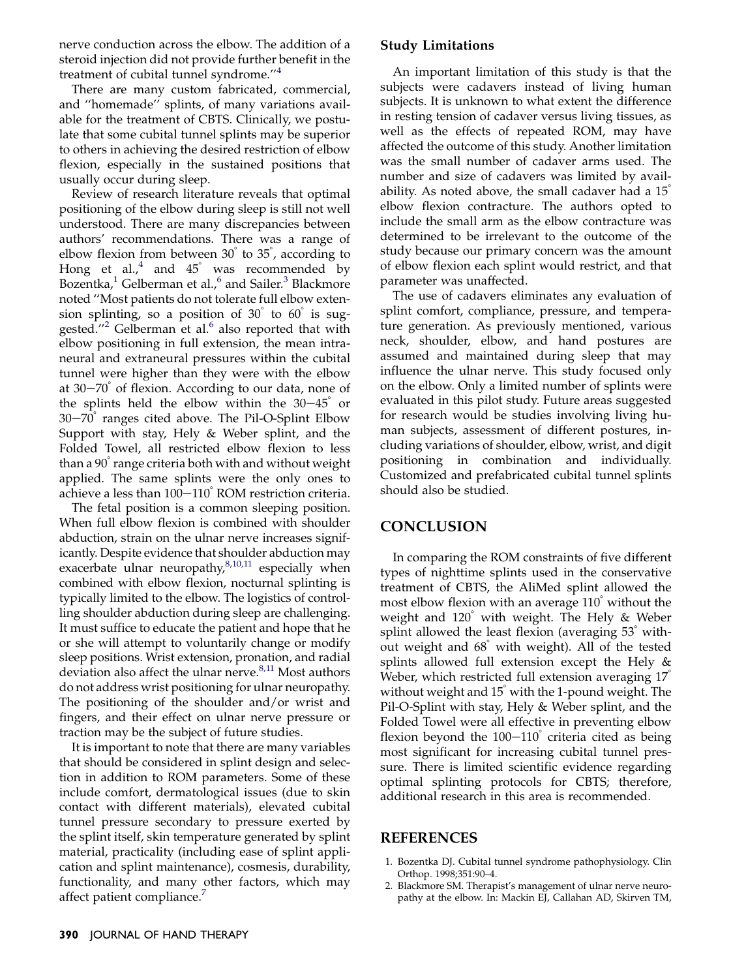<span id="page-6-0"></span>nerve conduction across the elbow. The addition of a steroid injection did not provide further benefit in the treatment of cubital tunnel syndrome.''[4](#page-7-0)

There are many custom fabricated, commercial, and ''homemade'' splints, of many variations available for the treatment of CBTS. Clinically, we postulate that some cubital tunnel splints may be superior to others in achieving the desired restriction of elbow flexion, especially in the sustained positions that usually occur during sleep.

Review of research literature reveals that optimal positioning of the elbow during sleep is still not well understood. There are many discrepancies between authors' recommendations. There was a range of elbow flexion from between  $30^{\degree}$  to  $35^{\degree}$ , according to Hong et al., $4 \text{ and } 45^\circ$  $4 \text{ and } 45^\circ$  was recommended by Bozentka,<sup>1</sup> Gelberman et al.,<sup>[6](#page-7-0)</sup> and Sailer.<sup>[3](#page-7-0)</sup> Blackmore noted ''Most patients do not tolerate full elbow extension splinting, so a position of  $30^{\circ}$  to  $60^{\circ}$  is sug-gested."<sup>2</sup> Gelberman et al.<sup>[6](#page-7-0)</sup> also reported that with elbow positioning in full extension, the mean intraneural and extraneural pressures within the cubital tunnel were higher than they were with the elbow at  $30-70^\circ$  of flexion. According to our data, none of the splints held the elbow within the  $30-45^\circ$  or  $30-70^\circ$  ranges cited above. The Pil-O-Splint Elbow Support with stay, Hely & Weber splint, and the Folded Towel, all restricted elbow flexion to less than a  $90^\circ$  range criteria both with and without weight applied. The same splints were the only ones to achieve a less than  $100-110^{\circ}$  ROM restriction criteria.

The fetal position is a common sleeping position. When full elbow flexion is combined with shoulder abduction, strain on the ulnar nerve increases significantly. Despite evidence that shoulder abduction may exacerbate ulnar neuropathy, $8,10,11$  especially when combined with elbow flexion, nocturnal splinting is typically limited to the elbow. The logistics of controlling shoulder abduction during sleep are challenging. It must suffice to educate the patient and hope that he or she will attempt to voluntarily change or modify sleep positions. Wrist extension, pronation, and radial deviation also affect the ulnar nerve. $8,11$  Most authors do not address wrist positioning for ulnar neuropathy. The positioning of the shoulder and/or wrist and fingers, and their effect on ulnar nerve pressure or traction may be the subject of future studies.

It is important to note that there are many variables that should be considered in splint design and selection in addition to ROM parameters. Some of these include comfort, dermatological issues (due to skin contact with different materials), elevated cubital tunnel pressure secondary to pressure exerted by the splint itself, skin temperature generated by splint material, practicality (including ease of splint application and splint maintenance), cosmesis, durability, functionality, and many other factors, which may affect patient compliance.<sup>[7](#page-7-0)</sup>

## Study Limitations

An important limitation of this study is that the subjects were cadavers instead of living human subjects. It is unknown to what extent the difference in resting tension of cadaver versus living tissues, as well as the effects of repeated ROM, may have affected the outcome of this study. Another limitation was the small number of cadaver arms used. The number and size of cadavers was limited by availability. As noted above, the small cadaver had a  $15<sup>°</sup>$ elbow flexion contracture. The authors opted to include the small arm as the elbow contracture was determined to be irrelevant to the outcome of the study because our primary concern was the amount of elbow flexion each splint would restrict, and that parameter was unaffected.

The use of cadavers eliminates any evaluation of splint comfort, compliance, pressure, and temperature generation. As previously mentioned, various neck, shoulder, elbow, and hand postures are assumed and maintained during sleep that may influence the ulnar nerve. This study focused only on the elbow. Only a limited number of splints were evaluated in this pilot study. Future areas suggested for research would be studies involving living human subjects, assessment of different postures, including variations of shoulder, elbow, wrist, and digit positioning in combination and individually. Customized and prefabricated cubital tunnel splints should also be studied.

## **CONCLUSION**

In comparing the ROM constraints of five different types of nighttime splints used in the conservative treatment of CBTS, the AliMed splint allowed the most elbow flexion with an average  $110<sup>°</sup>$  without the weight and  $120^{\circ}$  with weight. The Hely & Weber splint allowed the least flexion (averaging  $53<sup>°</sup>$  without weight and  $68^\circ$  with weight). All of the tested splints allowed full extension except the Hely & Weber, which restricted full extension averaging  $17^\circ$ without weight and  $15^{\circ}$  with the 1-pound weight. The Pil-O-Splint with stay, Hely & Weber splint, and the Folded Towel were all effective in preventing elbow flexion beyond the  $100-110^\circ$  criteria cited as being most significant for increasing cubital tunnel pressure. There is limited scientific evidence regarding optimal splinting protocols for CBTS; therefore, additional research in this area is recommended.

## REFERENCES

- 1. Bozentka DJ. Cubital tunnel syndrome pathophysiology. Clin Orthop. 1998;351:90–4.
- 2. Blackmore SM. Therapist's management of ulnar nerve neuropathy at the elbow. In: Mackin EJ, Callahan AD, Skirven TM,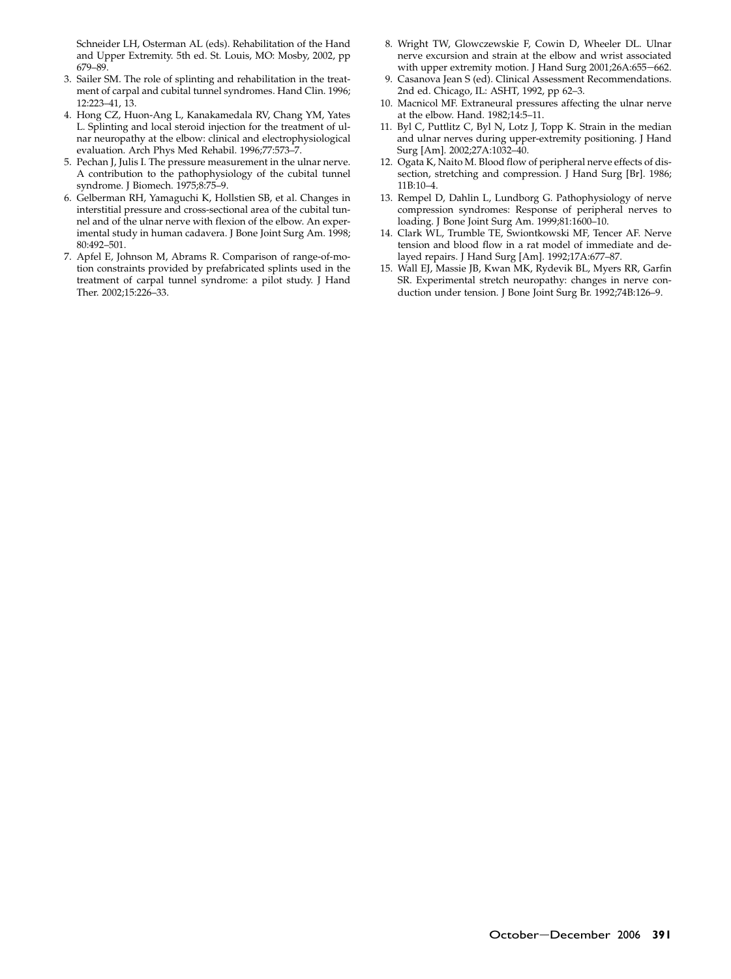<span id="page-7-0"></span>Schneider LH, Osterman AL (eds). Rehabilitation of the Hand and Upper Extremity. 5th ed. St. Louis, MO: Mosby, 2002, pp 679–89.

- 3. Sailer SM. The role of splinting and rehabilitation in the treatment of carpal and cubital tunnel syndromes. Hand Clin. 1996; 12:223–41, 13.
- 4. Hong CZ, Huon-Ang L, Kanakamedala RV, Chang YM, Yates L. Splinting and local steroid injection for the treatment of ulnar neuropathy at the elbow: clinical and electrophysiological evaluation. Arch Phys Med Rehabil. 1996;77:573–7.
- 5. Pechan J, Julis I. The pressure measurement in the ulnar nerve. A contribution to the pathophysiology of the cubital tunnel syndrome. J Biomech. 1975;8:75–9.
- 6. Gelberman RH, Yamaguchi K, Hollstien SB, et al. Changes in interstitial pressure and cross-sectional area of the cubital tunnel and of the ulnar nerve with flexion of the elbow. An experimental study in human cadavera. J Bone Joint Surg Am. 1998; 80:492–501.
- 7. Apfel E, Johnson M, Abrams R. Comparison of range-of-motion constraints provided by prefabricated splints used in the treatment of carpal tunnel syndrome: a pilot study. J Hand Ther. 2002;15:226–33.
- 8. Wright TW, Glowczewskie F, Cowin D, Wheeler DL. Ulnar nerve excursion and strain at the elbow and wrist associated with upper extremity motion. J Hand Surg 2001;26A:655-662.
- 9. Casanova Jean S (ed). Clinical Assessment Recommendations. 2nd ed. Chicago, IL: ASHT, 1992, pp 62–3.
- 10. Macnicol MF. Extraneural pressures affecting the ulnar nerve at the elbow. Hand. 1982;14:5–11.
- 11. Byl C, Puttlitz C, Byl N, Lotz J, Topp K. Strain in the median and ulnar nerves during upper-extremity positioning. J Hand Surg [Am]. 2002;27A:1032–40.
- 12. Ogata K, Naito M. Blood flow of peripheral nerve effects of dissection, stretching and compression. J Hand Surg [Br]. 1986; 11B:10–4.
- 13. Rempel D, Dahlin L, Lundborg G. Pathophysiology of nerve compression syndromes: Response of peripheral nerves to loading. J Bone Joint Surg Am. 1999;81:1600–10.
- 14. Clark WL, Trumble TE, Swiontkowski MF, Tencer AF. Nerve tension and blood flow in a rat model of immediate and delayed repairs. J Hand Surg [Am]. 1992;17A:677–87.
- 15. Wall EJ, Massie JB, Kwan MK, Rydevik BL, Myers RR, Garfin SR. Experimental stretch neuropathy: changes in nerve conduction under tension. J Bone Joint Surg Br. 1992;74B:126–9.